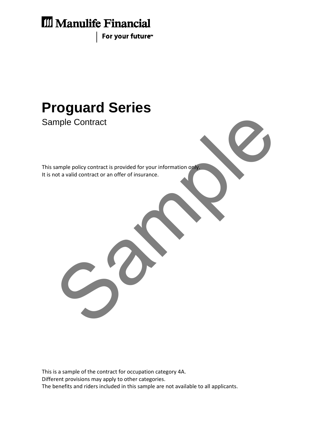# **III** Manulife Financial

For your future<sup>™</sup>

# **Proguard Series**

Sample Contract

This sample policy contract is provided for your information only. It is not a valid contract or an offer of insurance. Example policy contract is provided for your information one<br>of a valid contract or an offer of insurance.

This is a sample of the contract for occupation category 4A. Different provisions may apply to other categories. The benefits and riders included in this sample are not available to all applicants.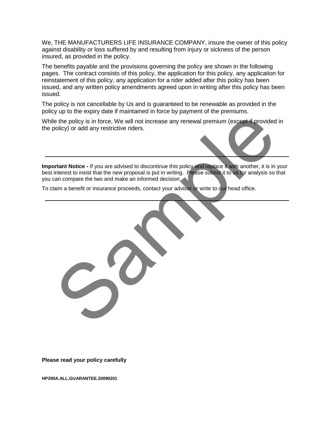We, THE MANUFACTURERS LIFE INSURANCE COMPANY, insure the owner of this policy against disability or loss suffered by and resulting from injury or sickness of the person insured, as provided in the policy.

The benefits payable and the provisions governing the policy are shown in the following pages. The contract consists of this policy, the application for this policy, any application for reinstatement of this policy, any application for a rider added after this policy has been issued, and any written policy amendments agreed upon in writing after this policy has been issued.

The policy is not cancellable by Us and is guaranteed to be renewable as provided in the policy up to the expiry date if maintained in force by payment of the premiums.

While the policy is in force, We will not increase any renewal premium (except if provided in the policy) or add any restrictive riders.

**Important Notice -** If you are advised to discontinue this policy and replace it with another, it is in your best interest to insist that the new proposal is put in writing. Please submit it to us for analysis so that you can compare the two and make an informed decision. e the policy is in force. We will not increase any renewal premium (except if provided onlicy) or add any restrictive riders.<br>
Internet to insist that the new proposal is put in writing. Please submit it to be for analysis

To claim a benefit or insurance proceeds, contact your advisor or write to our head office.

**Please read your policy carefully**

**HP290A.ALL.GUARANTEE.20090201**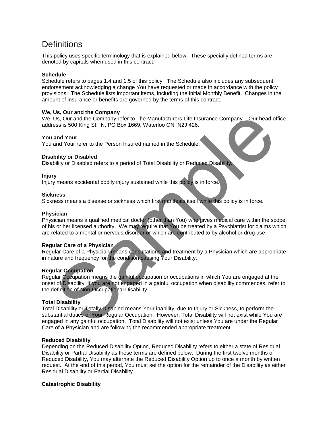### **Definitions**

This policy uses specific terminology that is explained below. These specially defined terms are denoted by capitals when used in this contract.

#### **Schedule**

Schedule refers to pages 1.4 and 1.5 of this policy. The Schedule also includes any subsequent endorsement acknowledging a change You have requested or made in accordance with the policy provisions. The Schedule lists important items, including the initial Monthly Benefit. Changes in the amount of insurance or benefits are governed by the terms of this contract.

#### **We, Us, Our and the Company**

We, Us, Our and the Company refer to The Manufacturers Life Insurance Company. Our head office address is 500 King St. N, PO Box 1669, Waterloo ON N2J 426.

#### **You and Your**

You and Your refer to the Person Insured named in the Schedule.

#### **Disability or Disabled**

Disability or Disabled refers to a period of Total Disability or Reduced Disability.

#### **Injury**

Injury means accidental bodily injury sustained while this policy is in force.

#### **Sickness**

Sickness means a disease or sickness which first manifests itself while this policy is in force.

#### **Physician**

Physician means a qualified medical doctor (other than You) who gives medical care within the scope of his or her licensed authority. We may require that You be treated by a Psychiatrist for claims which are related to a mental or nervous disorder or which are contributed to by alcohol or drug use.

#### **Regular Care of a Physician**

Regular Care of a Physician means consultations and treatment by a Physician which are appropriate in nature and frequency for the condition causing Your Disability.

#### **Regular Occupation**

Regular Occupation means the gainful occupation or occupations in which You are engaged at the onset of Disability. If you are not engaged in a gainful occupation when disability commences, refer to the definition of Non-Occupational Disability.

#### **Total Disability**

Total Disability or Totally Disabled means Your inability, due to Injury or Sickness, to perform the substantial duties of Your Regular Occupation. However, Total Disability will not exist while You are engaged in any gainful occupation. Total Disability will not exist unless You are under the Regular Care of a Physician and are following the recommended appropriate treatment. Say our and the Company refer to The Manufacturers Life Insurance Company. Our head of<br>Bus, our and the Company refer to The Manufacturers Life Insurance Company. Our head of<br>and Your refer to the Person Insured named in t

#### **Reduced Disability**

Depending on the Reduced Disability Option, Reduced Disability refers to either a state of Residual Disability or Partial Disability as these terms are defined below. During the first twelve months of Reduced Disability, You may alternate the Reduced Disability Option up to once a month by written request. At the end of this period, You must set the option for the remainder of the Disability as either Residual Disability or Partial Disability.

#### **Catastrophic Disability**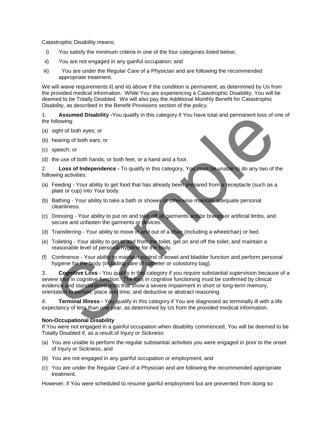Catastrophic Disability means:

- i) You satisfy the minimum criteria in one of the four categories listed below;
- ii) You are not engaged in any gainful occupation; and
- iii) You are under the Regular Care of a Physician and are following the recommended appropriate treatment.

We will waive requirements ii) and iii) above if the condition is permanent, as determined by Us from the provided medical information. While You are experiencing a Catastrophic Disability, You will be deemed to be Totally Disabled. We will also pay the Additional Monthly Benefit for Catastrophic Disability, as described in the Benefit Provisions section of the policy.

1. **Assumed Disability -**You qualify in this category if You have total and permanent loss of one of the following:

- (a) sight of both eyes; or
- (b) hearing of both ears; or
- (c) speech; or
- (d) the use of both hands, or both feet, or a hand and a foot.

2. **Loss of Independence -** To qualify in this category, You must be unable to do any two of the following activities:

- (a) Feeding Your ability to get food that has already been prepared from a receptacle (such as a plate or cup) into Your body.
- (b) Bathing Your ability to take a bath or shower or otherwise maintain adequate personal cleanliness.
- (c) Dressing Your ability to put on and take off all garments and/or braces or artificial limbs, and secure and unfasten the garments or devices.
- (d) Transferring Your ability to move in and out of a chair (including a wheelchair) or bed.
- (e) Toileting Your ability to get to and from the toilet, get on and off the toilet, and maintain a reasonable level of personal hygiene for the body.
- (f) Continence Your ability to maintain control of bowel and bladder function and perform personal hygiene for the body (including care of catheter or colostomy bag).

3. **Cognitive Loss -** You qualify in this category if you require substantial supervision because of a severe loss in cognitive function. The loss in cognitive functioning must be confirmed by clinical evidence and standardized tests that show a severe impairment in short or long-term memory, orientation to person, place and time, and deductive or abstract reasoning. Assumed Disability -You quality in this category if You have total and permanent loss of o<br>sight of both eyes; or<br>sight of both eyes; or<br>sering of both ears; or<br>sering of both ears; or<br>sering of both ears; or<br>sering - Your

4. **Terminal Illness -** You qualify in this category if You are diagnosed as terminally ill with a life expectancy of less than one year, as determined by Us from the provided medical information.

#### **Non-Occupational Disability**

If You were not engaged in a gainful occupation when disability commenced, You will be deemed to be Totally Disabled if, as a result of Injury or Sickness:

- (a) You are unable to perform the regular substantial activities you were engaged in prior to the onset of Injury or Sickness, and
- (b) You are not engaged in any gainful occupation or employment, and
- (c) You are under the Regular Care of a Physician and are following the recommended appropriate treatment.

However, if You were scheduled to resume gainful employment but are prevented from doing so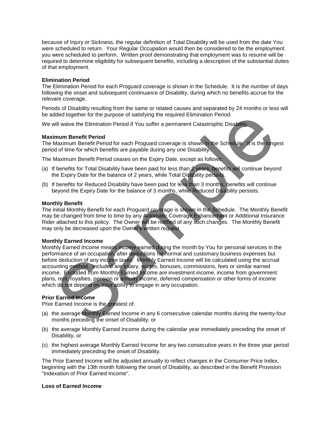because of Injury or Sickness, the regular definition of Total Disability will be used from the date You were scheduled to return. Your Regular Occupation would then be considered to be the employment you were scheduled to perform. Written proof demonstrating that employment was to resume will be required to determine eligibility for subsequent benefits, including a description of the substantial duties of that employment.

#### **Elimination Period**

The Elimination Period for each Proguard coverage is shown in the Schedule. It is the number of days following the onset and subsequent continuance of Disability, during which no benefits accrue for the relevant coverage.

Periods of Disability resulting from the same or related causes and separated by 24 months or less will be added together for the purpose of satisfying the required Elimination Period.

We will waive the Elimination Period if You suffer a permanent Catastrophic Disability.

#### **Maximum Benefit Period**

The Maximum Benefit Period for each Proguard coverage is shown in the Schedule. It is the longest period of time for which benefits are payable during any one Disability.

The Maximum Benefit Period ceases on the Expiry Date, except as follows:

- (a) If benefits for Total Disability have been paid for less than 2 years, benefits will continue beyond the Expiry Date for the balance of 2 years, while Total Disability persists.
- (b) If benefits for Reduced Disability have been paid for less than 3 months, benefits will continue beyond the Expiry Date for the balance of 3 months, while Reduced Disability persists.

#### **Monthly Benefit**

The initial Monthly Benefit for each Proguard coverage is shown in the Schedule. The Monthly Benefit may be changed from time to time by any Automatic Coverage Enhancement or Additional Insurance Rider attached to this policy. The Owner will be notified of any such changes. The Monthly Benefit may only be decreased upon the Owner's written request.

#### **Monthly Earned Income**

Monthly Earned Income means income earned during the month by You for personal services in the performance of an occupation, after deductions for normal and customary business expenses but before deduction of any income taxes. Monthly Earned Income will be calculated using the accrual accounting method. Included are salary, wages, bonuses, commissions, fees or similar earned income. Excluded from Monthly Earned Income are investment income, income from government plans, rent, royalties, pension or annuity income, deferred compensation or other forms of income which do not depend on Your ability to engage in any occupation. dded together for the purpose of satisfying the required Elimination Period.<br>In this wave the Elimination Period if You suffer a permanent Catastrophic Disability<br>In the Same Interviewing that the Propulsation and Maximum

#### **Prior Earned Income**

Prior Earned Income is the greatest of:

- (a) the average Monthly Earned Income in any 6 consecutive calendar months during the twenty-four months preceding the onset of Disability, or
- (b) the average Monthly Earned Income during the calendar year immediately preceding the onset of Disability, or
- (c) the highest average Monthly Earned Income for any two consecutive years in the three year period immediately preceding the onset of Disability.

The Prior Earned Income will be adjusted annually to reflect changes in the Consumer Price Index, beginning with the 13th month following the onset of Disability, as described in the Benefit Provision "Indexation of Prior Earned Income".

#### **Loss of Earned Income**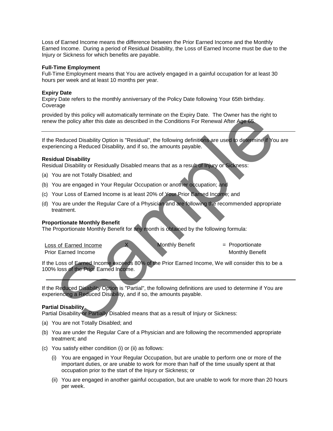Loss of Earned Income means the difference between the Prior Earned Income and the Monthly Earned Income. During a period of Residual Disability, the Loss of Earned Income must be due to the Injury or Sickness for which benefits are payable.

#### **Full-Time Employment**

Full-Time Employment means that You are actively engaged in a gainful occupation for at least 30 hours per week and at least 10 months per year.

#### **Expiry Date**

Expiry Date refers to the monthly anniversary of the Policy Date following Your 65th birthday. Coverage

provided by this policy will automatically terminate on the Expiry Date. The Owner has the right to renew the policy after this date as described in the Conditions For Renewal After Age 65.

If the Reduced Disability Option is "Residual", the following definitions are used to determine if You are experiencing a Reduced Disability, and if so, the amounts payable.

#### **Residual Disability**

Residual Disability or Residually Disabled means that as a result of Injury or Sickness:

- (a) You are not Totally Disabled; and
- (b) You are engaged in Your Regular Occupation or another occupation; and
- (c) Your Loss of Earned Income is at least 20% of Your Prior Earned Income; and
- (d) You are under the Regular Care of a Physician and are following the recommended appropriate treatment. did by this policy will automatically terminate on the Expiry Date. The Owner has the right to<br>twitter policy after this date as described in the Conditions For Renewal After Age 66.<br>
Reduced Disability, and if so, the amo

#### **Proportionate Monthly Benefit**

The Proportionate Monthly Benefit for any month is obtained by the following formula:

Loss of Earned Income  $X$  Monthly Benefit  $Y =$  Proportionate Prior Earned Income Monthly Benefit

If the Loss of Earned Income exceeds 80% of the Prior Earned Income, We will consider this to be a 100% loss of the Prior Earned Income.

If the Reduced Disability Option is "Partial", the following definitions are used to determine if You are experiencing a Reduced Disability, and if so, the amounts payable.

#### **Partial Disability**

Partial Disability or Partially Disabled means that as a result of Injury or Sickness:

- (a) You are not Totally Disabled; and
- (b) You are under the Regular Care of a Physician and are following the recommended appropriate treatment; and
- (c) You satisfy either condition (i) or (ii) as follows:
	- (i) You are engaged in Your Regular Occupation, but are unable to perform one or more of the important duties, or are unable to work for more than half of the time usually spent at that occupation prior to the start of the Injury or Sickness; or
	- (ii) You are engaged in another gainful occupation, but are unable to work for more than 20 hours per week.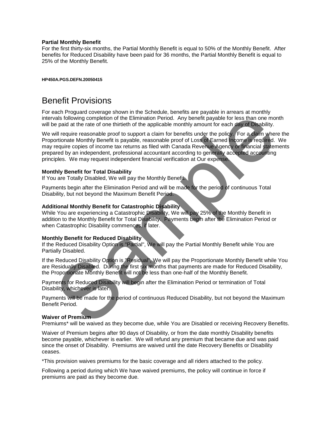#### **Partial Monthly Benefit**

For the first thirty-six months, the Partial Monthly Benefit is equal to 50% of the Monthly Benefit. After benefits for Reduced Disability have been paid for 36 months, the Partial Monthly Benefit is equal to 25% of the Monthly Benefit.

**HP450A.PGS.DEFN.20050415**

### Benefit Provisions

For each Proguard coverage shown in the Schedule, benefits are payable in arrears at monthly intervals following completion of the Elimination Period. Any benefit payable for less than one month will be paid at the rate of one thirtieth of the applicable monthly amount for each day of Disability.

We will require reasonable proof to support a claim for benefits under the policy. For a claim where the Proportionate Monthly Benefit is payable, reasonable proof of Loss of Earned Income is required. We may require copies of income tax returns as filed with Canada Revenue Agency or financial statements prepared by an independent, professional accountant according to generally accepted accounting principles. We may request independent financial verification at Our expense. the relation to the Elimination Period. Any benefit packle for less than one more paid at the rate of one thrifthe application relation (and the paid of the paid of the set than one more paid at the rate of one thrifthe de

#### **Monthly Benefit for Total Disability**

If You are Totally Disabled, We will pay the Monthly Benefit.

Payments begin after the Elimination Period and will be made for the period of continuous Total Disability, but not beyond the Maximum Benefit Period.

#### **Additional Monthly Benefit for Catastrophic Disability**

While You are experiencing a Catastrophic Disability, We will pay 25% of the Monthly Benefit in addition to the Monthly Benefit for Total Disability. Payments begin after the Elimination Period or when Catastrophic Disability commences, if later.

#### **Monthly Benefit for Reduced Disability**

If the Reduced Disability Option is "Partial", We will pay the Partial Monthly Benefit while You are Partially Disabled.

If the Reduced Disability Option is "Residual", We will pay the Proportionate Monthly Benefit while You are Residually Disabled. During the first six months that payments are made for Reduced Disability, the Proportionate Monthly Benefit will not be less than one-half of the Monthly Benefit.

Payments for Reduced Disability will begin after the Elimination Period or termination of Total Disability, whichever is later.

Payments will be made for the period of continuous Reduced Disability, but not beyond the Maximum Benefit Period.

#### **Waiver of Premium**

Premiums\* will be waived as they become due, while You are Disabled or receiving Recovery Benefits.

Waiver of Premium begins after 90 days of Disability, or from the date monthly Disability benefits become payable, whichever is earlier. We will refund any premium that became due and was paid since the onset of Disability. Premiums are waived until the date Recovery Benefits or Disability ceases.

\*This provision waives premiums for the basic coverage and all riders attached to the policy.

Following a period during which We have waived premiums, the policy will continue in force if premiums are paid as they become due.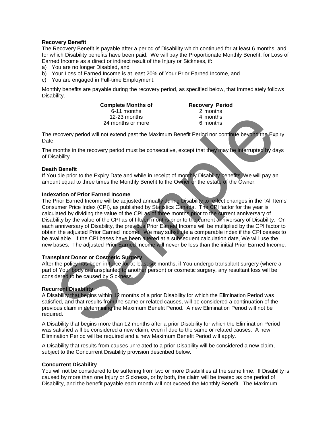#### **Recovery Benefit**

The Recovery Benefit is payable after a period of Disability which continued for at least 6 months, and for which Disability benefits have been paid. We will pay the Proportionate Monthly Benefit, for Loss of Earned Income as a direct or indirect result of the Injury or Sickness, if:

- a) You are no longer Disabled, and
- b) Your Loss of Earned Income is at least 20% of Your Prior Earned Income, and
- c) You are engaged in Full-time Employment.

Monthly benefits are payable during the recovery period, as specified below, that immediately follows Disability.

> **Complete Months of The Recovery Period**<br>6-11 months 6-11 months 2 months 6-11 months 2 months 12-23 months 12-23 months 12-23 months 12-23 months 14 months 24 months or more

The recovery period will not extend past the Maximum Benefit Period nor continue beyond the Expiry Date.

The months in the recovery period must be consecutive, except that they may be interrupted by days of Disability.

#### **Death Benefit**

If You die prior to the Expiry Date and while in receipt of monthly Disability benefits, We will pay an amount equal to three times the Monthly Benefit to the Owner or the estate of the Owner.

#### **Indexation of Prior Earned Income**

The Prior Earned Income will be adjusted annually during Disability to reflect changes in the "All Items" Consumer Price Index (CPI), as published by Statistics Canada. The CPI factor for the year is calculated by dividing the value of the CPI as of three months prior to the current anniversary of Disability by the value of the CPI as of fifteen months prior to the current anniversary of Disability. On each anniversary of Disability, the previous Prior Earned Income will be multiplied by the CPI factor to obtain the adjusted Prior Earned Income. We may substitute a comparable index if the CPI ceases to be available. If the CPI bases have been altered at a subsequent calculation date, We will use the new bases. The adjusted Prior Earned Income will never be less than the initial Prior Earned Income. 12-23 months<br>
22 months of more<br>
23 months of more and months in the recovery period will not extend past the Maximum Benefit Period nor continue beyond the Example.<br>
24 months in the recovery period must be consecutive, e

#### **Transplant Donor or Cosmetic Surgery**

After the policy has been in force for at least six months, if You undergo transplant surgery (where a part of Your body is transplanted to another person) or cosmetic surgery, any resultant loss will be considered to be caused by Sickness.

#### **Recurrent Disability**

A Disability that begins within 12 months of a prior Disability for which the Elimination Period was satisfied, and that results from the same or related causes, will be considered a continuation of the previous claim in determining the Maximum Benefit Period. A new Elimination Period will not be required.

A Disability that begins more than 12 months after a prior Disability for which the Elimination Period was satisfied will be considered a new claim, even if due to the same or related causes. A new Elimination Period will be required and a new Maximum Benefit Period will apply.

A Disability that results from causes unrelated to a prior Disability will be considered a new claim, subject to the Concurrent Disability provision described below.

#### **Concurrent Disability**

You will not be considered to be suffering from two or more Disabilities at the same time. If Disability is caused by more than one Injury or Sickness, or by both, the claim will be treated as one period of Disability, and the benefit payable each month will not exceed the Monthly Benefit. The Maximum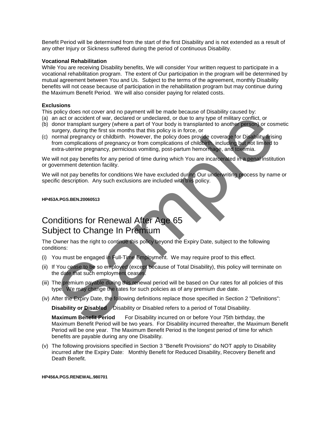Benefit Period will be determined from the start of the first Disability and is not extended as a result of any other Injury or Sickness suffered during the period of continuous Disability.

#### **Vocational Rehabilitation**

While You are receiving Disability benefits, We will consider Your written request to participate in a vocational rehabilitation program. The extent of Our participation in the program will be determined by mutual agreement between You and Us. Subject to the terms of the agreement, monthly Disability benefits will not cease because of participation in the rehabilitation program but may continue during the Maximum Benefit Period. We will also consider paying for related costs.

#### **Exclusions**

This policy does not cover and no payment will be made because of Disability caused by:

- (a) an act or accident of war, declared or undeclared, or due to any type of military conflict, or
- (b) donor transplant surgery (where a part of Your body is transplanted to another person) or cosmetic surgery, during the first six months that this policy is in force, or
- (c) normal pregnancy or childbirth. However, the policy does provide coverage for Disability arising from complications of pregnancy or from complications of childbirth, including but not limited to extra-uterine pregnancy, pernicious vomiting, post-partum hemorrhage, and toxemia. march and consider the same of Your books transported that the book the material of distribution of the party (where a part of Your book) is the party (where a party of the party (where a party of the party of the party of

We will not pay benefits for any period of time during which You are incarcerated in a penal institution or government detention facility.

We will not pay benefits for conditions We have excluded during Our underwriting process by name or specific description. Any such exclusions are included with this policy.

#### **HP453A.PGS.BEN.20060513**

# Conditions for Renewal After Age 65 Subject to Change In Premium

The Owner has the right to continue this policy beyond the Expiry Date, subject to the following conditions:

- (i) You must be engaged in Full-Time Employment. We may require proof to this effect.
- (ii) If You cease to be so employed (except because of Total Disability), this policy will terminate on the date that such employment ceases.
- (iii) The premium payable during this renewal period will be based on Our rates for all policies of this type. We may change the rates for such policies as of any premium due date.
- (iv) After the Expiry Date, the following definitions replace those specified in Section 2 "Definitions":

**Disability or Disabled** Disability or Disabled refers to a period of Total Disability.

**Maximum Benefit Period** For Disability incurred on or before Your 75th birthday, the Maximum Benefit Period will be two years. For Disability incurred thereafter, the Maximum Benefit Period will be one year. The Maximum Benefit Period is the longest period of time for which benefits are payable during any one Disability.

(v) The following provisions specified in Section 3 "Benefit Provisions" do NOT apply to Disability incurred after the Expiry Date: Monthly Benefit for Reduced Disability, Recovery Benefit and Death Benefit.

#### **HP456A.PGS.RENEWAL.980701**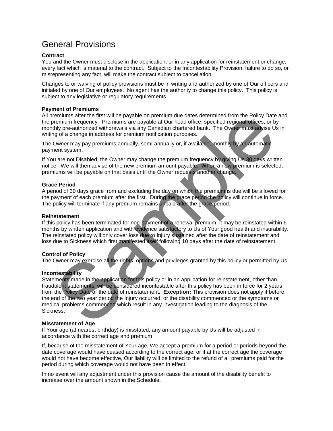## General Provisions

#### **Contract**

You and the Owner must disclose in the application, or in any application for reinstatement or change, every fact which is material to the contract. Subject to the Incontestability Provision, failure to do so, or misrepresenting any fact, will make the contract subject to cancellation.

Changes to or waiving of policy provisions must be in writing and authorized by one of Our officers and initialed by one of Our employees. No agent has the authority to change this policy. This policy is subject to any legislative or regulatory requirements.

#### **Payment of Premiums**

All premiums after the first will be payable on premium due dates determined from the Policy Date and the premium frequency. Premiums are payable at Our head office, specified regional offices, or by monthly pre-authorized withdrawals via any Canadian chartered bank. The Owner must advise Us in writing of a change in address for premium notification purposes.

The Owner may pay premiums annually, semi-annually or, if available, monthly by an automatic payment system.

If You are not Disabled, the Owner may change the premium frequency by giving Us 30 days written notice. We will then advise of the new premium amount payable. When a new premium is selected, premiums will be payable on that basis until the Owner requests another change.

#### **Grace Period**

A period of 30 days grace from and excluding the day on which the premium is due will be allowed for the payment of each premium after the first. During the grace period the policy will continue in force. The policy will terminate if any premium remains unpaid after the grace period.

#### **Reinstatement**

If this policy has been terminated for non-payment of a renewal premium, it may be reinstated within 6 months by written application and with evidence satisfactory to Us of Your good health and insurability. The reinstated policy will only cover loss due to Injury sustained after the date of reinstatement and loss due to Sickness which first manifested itself following 10 days after the date of reinstatement.

#### **Control of Policy**

The Owner may exercise all the rights, options and privileges granted by this policy or permitted by Us.

#### **Incontestability**

Statements made in the application for this policy or in an application for reinstatement, other than fraudulent statements, will be considered incontestable after this policy has been in force for 2 years from the Policy Date or the date of reinstatement. **Exception:** This provision does not apply if before the end of the two year period the Injury occurred, or the disability commenced or the symptoms or medical problems commenced which result in any investigation leading to the diagnosis of the Sickness. remium stere the first will be payable on permium due dates determined from the Policy Date<br>remium frequency. Premiums are payable at Our head office, specified regional offices, or by<br>thy thy pre-authorized withdrawask vi

#### **Misstatement of Age**

If Your age (at nearest birthday) is misstated, any amount payable by Us will be adjusted in accordance with the correct age and premium.

If, because of the misstatement of Your age, We accept a premium for a period or periods beyond the date coverage would have ceased according to the correct age, or if at the correct age the coverage would not have become effective, Our liability will be limited to the refund of all premiums paid for the period during which coverage would not have been in effect.

In no event will any adjustment under this provision cause the amount of the disability benefit to increase over the amount shown in the Schedule.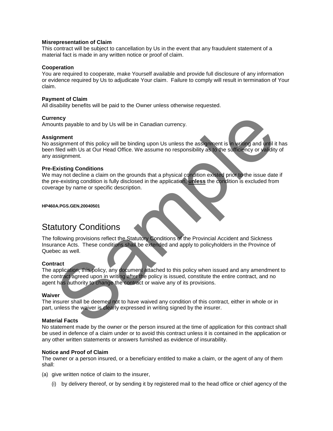#### **Misrepresentation of Claim**

This contract will be subject to cancellation by Us in the event that any fraudulent statement of a material fact is made in any written notice or proof of claim.

#### **Cooperation**

You are required to cooperate, make Yourself available and provide full disclosure of any information or evidence required by Us to adjudicate Your claim. Failure to comply will result in termination of Your claim.

#### **Payment of Claim**

All disability benefits will be paid to the Owner unless otherwise requested.

#### **Currency**

Amounts payable to and by Us will be in Canadian currency.

#### **Assignment**

No assignment of this policy will be binding upon Us unless the assignment is in writing and until it has been filed with Us at Our Head Office. We assume no responsibility as to the sufficiency or validity of any assignment. ency<br>
signment<br>
signment<br>
signment of this policy will be binding upon Us unless the assignment is in writing and until<br>
tiled with Us at Our Head Office. We assume no responsibility as to the sufficiency or valifolity<br>
si

#### **Pre-Existing Conditions**

We may not decline a claim on the grounds that a physical condition existed prior to the issue date if the pre-existing condition is fully disclosed in the application, **unless** the condition is excluded from coverage by name or specific description.

**HP460A.PGS.GEN.20040501**

# Statutory Conditions

The following provisions reflect the Statutory Conditions of the Provincial Accident and Sickness Insurance Acts. These conditions shall be extended and apply to policyholders in the Province of Quebec as well.

#### **Contract**

The application, this policy, any document attached to this policy when issued and any amendment to the contract agreed upon in writing after the policy is issued, constitute the entire contract, and no agent has authority to change the contract or waive any of its provisions.

#### **Waiver**

The insurer shall be deemed not to have waived any condition of this contract, either in whole or in part, unless the waiver is clearly expressed in writing signed by the insurer.

#### **Material Facts**

No statement made by the owner or the person insured at the time of application for this contract shall be used in defence of a claim under or to avoid this contract unless it is contained in the application or any other written statements or answers furnished as evidence of insurability.

#### **Notice and Proof of Claim**

The owner or a person insured, or a beneficiary entitled to make a claim, or the agent of any of them shall:

(a) give written notice of claim to the insurer,

(i) by delivery thereof, or by sending it by registered mail to the head office or chief agency of the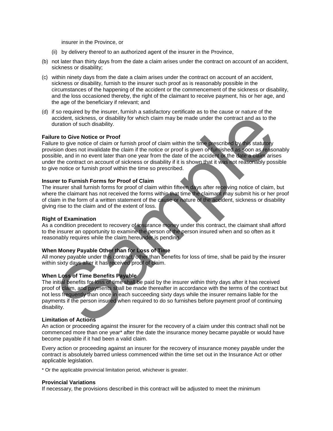insurer in the Province, or

- (ii) by delivery thereof to an authorized agent of the insurer in the Province,
- (b) not later than thirty days from the date a claim arises under the contract on account of an accident, sickness or disability;
- (c) within ninety days from the date a claim arises under the contract on account of an accident, sickness or disability, furnish to the insurer such proof as is reasonably possible in the circumstances of the happening of the accident or the commencement of the sickness or disability, and the loss occasioned thereby, the right of the claimant to receive payment, his or her age, and the age of the beneficiary if relevant; and
- (d) if so required by the insurer, furnish a satisfactory certificate as to the cause or nature of the accident, sickness, or disability for which claim may be made under the contract and as to the duration of such disability.

#### **Failure to Give Notice or Proof**

Failure to give notice of claim or furnish proof of claim within the time prescribed by this statutory provision does not invalidate the claim if the notice or proof is given or furnished as soon as reasonably possible, and in no event later than one year from the date of the accident or the date a claim arises under the contract on account of sickness or disability if it is shown that it was not reasonably possible to give notice or furnish proof within the time so prescribed. eccident, sickness, or disability for which claim may be made under the contract and as to the<br>pluration of such disability. The which claim may be made under the contract and as to the<br>pluration of such disability.<br>The re

#### **Insurer to Furnish Forms for Proof of Claim**

The insurer shall furnish forms for proof of claim within fifteen days after receiving notice of claim, but where the claimant has not received the forms within that time the claimant may submit his or her proof of claim in the form of a written statement of the cause or nature of the accident, sickness or disability giving rise to the claim and of the extent of loss.

#### **Right of Examination**

As a condition precedent to recovery of insurance money under this contract, the claimant shall afford to the insurer an opportunity to examine the person of the person insured when and so often as it reasonably requires while the claim hereunder is pending.

#### **When Money Payable Other than for Loss of Time**

All money payable under this contract, other than benefits for loss of time, shall be paid by the insurer within sixty days after it has received proof of claim.

#### **When Loss of Time Benefits Payable**

The initial benefits for loss of time shall be paid by the insurer within thirty days after it has received proof of claim, and payments shall be made thereafter in accordance with the terms of the contract but not less frequently than once in each succeeding sixty days while the insurer remains liable for the payments if the person insured when required to do so furnishes before payment proof of continuing disability.

#### **Limitation of Actions**

An action or proceeding against the insurer for the recovery of a claim under this contract shall not be commenced more than one year\* after the date the insurance money became payable or would have become payable if it had been a valid claim.

Every action or proceeding against an insurer for the recovery of insurance money payable under the contract is absolutely barred unless commenced within the time set out in the Insurance Act or other applicable legislation.

\* Or the applicable provincial limitation period, whichever is greater.

#### **Provincial Variations**

If necessary, the provisions described in this contract will be adjusted to meet the minimum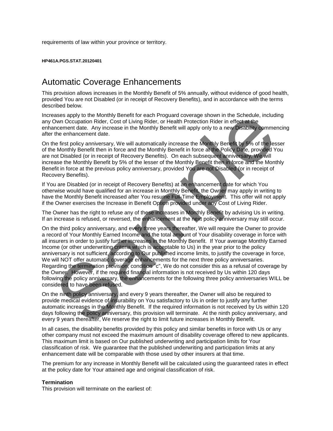requirements of law within your province or territory.

#### **HP461A.PGS.STAT.20120401**

### Automatic Coverage Enhancements

This provision allows increases in the Monthly Benefit of 5% annually, without evidence of good health, provided You are not Disabled (or in receipt of Recovery Benefits), and in accordance with the terms described below.

Increases apply to the Monthly Benefit for each Proguard coverage shown in the Schedule, including any Own Occupation Rider, Cost of Living Rider, or Health Protection Rider in effect at the enhancement date. Any increase in the Monthly Benefit will apply only to a new Disability commencing after the enhancement date.

On the first policy anniversary, We will automatically increase the Monthly Benefit by 5% of the lesser of the Monthly Benefit then in force and the Monthly Benefit in force at the Policy Date, provided You are not Disabled (or in receipt of Recovery Benefits). On each subsequent anniversary, We will increase the Monthly Benefit by 5% of the lesser of the Monthly Benefit then in force and the Monthly Benefit in force at the previous policy anniversary, provided You are not Disabled (or in receipt of Recovery Benefits).

If You are Disabled (or in receipt of Recovery Benefits) at an enhancement date for which You otherwise would have qualified for an increase in Monthly Benefit, the Owner may apply in writing to have the Monthly Benefit increased after You resume Full-Time Employment. This offer will not apply if the Owner exercises the Increase in Benefit Option provided under any Cost of Living Rider.

The Owner has the right to refuse any of these increases in Monthly Benefit by advising Us in writing. If an increase is refused, or reversed, the enhancement at the next policy anniversary may still occur.

On the third policy anniversary, and every three years thereafter, We will require the Owner to provide a record of Your Monthly Earned Income and the total amount of Your disability coverage in force with all insurers in order to justify further increases in the Monthly Benefit. If Your average Monthly Earned Income (or other underwriting criteria which is acceptable to Us) in the year prior to the policy anniversary is not sufficient, according to Our published income limits, to justify the coverage in force, We will NOT offer automatic coverage enhancements for the next three policy anniversaries. Regarding the termination provision, condition "c", We do not consider this as a refusal of coverage by the Owner. However, if the required financial information is not received by Us within 120 days following the policy anniversary, the enhancements for the following three policy anniversaries WILL be considered to have been refused. asses apply to the Monthly Benefit for each Proguard coverage shown in the Schedule, including<br>mane asses apply to the Monthly Benefit will apply only to a rew Disturbition<br>more ment date. Any increase in the Monthly Benef

On the ninth policy anniversary, and every 9 years thereafter, the Owner will also be required to provide medical evidence of insurability on You satisfactory to Us in order to justify any further automatic increases in the Monthly Benefit. If the required information is not received by Us within 120 days following the policy anniversary, this provision will terminate. At the ninth policy anniversary, and every 9 years thereafter, We reserve the right to limit future increases in Monthly Benefit.

In all cases, the disability benefits provided by this policy and similar benefits in force with Us or any other company must not exceed the maximum amount of disability coverage offered to new applicants. This maximum limit is based on Our published underwriting and participation limits for Your classification of risk. We guarantee that the published underwriting and participation limits at any enhancement date will be comparable with those used by other insurers at that time.

The premium for any increase in Monthly Benefit will be calculated using the guaranteed rates in effect at the policy date for Your attained age and original classification of risk.

#### **Termination**

This provision will terminate on the earliest of: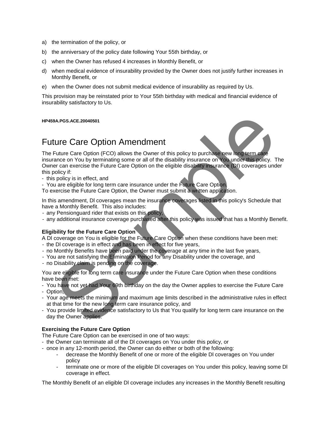- a) the termination of the policy, or
- b) the anniversary of the policy date following Your 55th birthday, or
- c) when the Owner has refused 4 increases in Monthly Benefit, or
- d) when medical evidence of insurability provided by the Owner does not justify further increases in Monthly Benefit, or
- e) when the Owner does not submit medical evidence of insurability as required by Us.

This provision may be reinstated prior to Your 55th birthday with medical and financial evidence of insurability satisfactory to Us.

#### **HP459A.PGS.ACE.20040501**

### Future Care Option Amendment



The Future Care Option (FCO) allows the Owner of this policy to purchase new long term care insurance on You by terminating some or all of the disability insurance on You under this policy. The Owner can exercise the Future Care Option on the eligible disability insurance (DI) coverages under this policy if: exares.<br>Accessores.com/or (FICO) allows the Ower of this policy to purchase heavy including the<br>Future Care Option (FICO) allows the Ower of this policy to purchase heavy including<br>ance on You by terminating some or all of

- this policy is in effect, and
- You are eligible for long term care insurance under the Future Care Option.

To exercise the Future Care Option, the Owner must submit a written application.

In this amendment, DI coverages mean the insurance coverages listed in this policy's Schedule that have a Monthly Benefit. This also includes:

- any Pensionguard rider that exists on this policy,
- any additional insurance coverage purchased after this policy was issued that has a Monthly Benefit.

#### **Eligibility for the Future Care Option**

A Dl coverage on You is eligible for the Future Care Option when these conditions have been met:

- the Dl coverage is in effect and has been in effect for five years,
- no Monthly Benefits have been paid under the coverage at any time in the last five years,
- You are not satisfying the Elimination Period for any Disability under the coverage, and
- no Disability claim is pending on the coverage.

You are eligible for long term care insurance under the Future Care Option when these conditions have been met:

- You have not yet had Your 69th birthday on the day the Owner applies to exercise the Future Care
- Option,
- Your age meets the minimum and maximum age limits described in the administrative rules in effect at that time for the new long term care insurance policy, and
- You provide limited evidence satisfactory to Us that You qualify for long term care insurance on the day the Owner applies.

#### **Exercising the Future Care Option**

The Future Care Option can be exercised in one of two ways:

- the Owner can terminate all of the Dl coverages on You under this policy, or
- once in any 12-month period, the Owner can do either or both of the following:
	- decrease the Monthly Benefit of one or more of the eligible Dl coverages on You under policy
	- terminate one or more of the eligible DI coverages on You under this policy, leaving some DI coverage in effect.

The Monthly Benefit of an eligible Dl coverage includes any increases in the Monthly Benefit resulting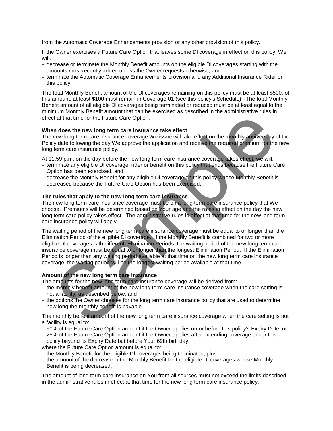from the Automatic Coverage Enhancements provision or any other provision of this policy.

If the Owner exercises a Future Care Option that leaves some Dl coverage in effect on this policy, We will:

- decrease or terminate the Monthly Benefit amounts on the eligible Dl coverages starting with the amounts most recently added unless the Owner requests otherwise, and
- terminate the Automatic Coverage Enhancements provision and any Additional Insurance Rider on this policy.

The total Monthly Benefit amount of the Dl coverages remaining on this policy must be at least \$500; of this amount, at least \$100 must remain in Coverage 01 (see this policy's Schedule). The total Monthly Benefit amount of all eligible Dl coverages being terminated or reduced must be at least equal to the minimum Monthly Benefit amount that can be exercised as described in the administrative rules in effect at that time for the Future Care Option.

#### **When does the new long term care insurance take effect**

The new long term care insurance coverage We issue will take effect on the monthly anniversary of the Policy date following the day We approve the application and receive the required premium for the new long term care insurance policy.

At 11:59 p.m. on the day before the new long term care insurance coverage takes effect, we will:

- terminate any eligible Dl coverage, rider or benefit on this policy that ends because the Future Care Option has been exercised, and
- decrease the Monthly Benefit for any eligible Dl coverage on this policy whose Monthly Benefit is decreased because the Future Care Option has been exercised.

#### **The rules that apply to the new long term care insurance**

The new long term care insurance coverage must be on a long term care insurance policy that We choose. Premiums will be determined based on Your age and the rates in effect on the day the new long term care policy takes effect. The administrative rules in effect at that time for the new long term care insurance policy will apply.

The waiting period of the new long term care insurance coverage must be equal to or longer than the Elimination Period of the eligible Dl coverage. If the Monthly Benefit is combined for two or more eligible Dl coverages with different Elimination Periods, the waiting period of the new long term care insurance coverage must be equal to or longer than the longest Elimination Period. If the Elimination Period is longer than any waiting period available at that time on the new long term care insurance coverage, the waiting period will be the longest waiting period available at that time. It at that time for the Future Care Option.<br>
In does the new long term care insurance take effect<br>
y date following the day We approve the application and receive the required promining the<br>
term care insurance coverage. W

#### **Amount of the new long term care insurance**

The amounts for the new long term care insurance coverage will be derived from:

- the monthly benefit amount of the new long term care insurance coverage when the care setting is not a facility, as described below, and
- the options the Owner chooses for the long term care insurance policy that are used to determine how long the monthly benefit is payable.

The monthly benefit amount of the new long term care insurance coverage when the care setting is not a facility is equal to:

- 50% of the Future Care Option amount if the Owner applies on or before this policy's Expiry Date, or
- 25% of the Future Care Option amount if the Owner applies after extending coverage under this policy beyond its Expiry Date but before Your 69th birthday,

where the Future Care Option amount is equal to:

- the Monthly Benefit for the eligible Dl coverages being terminated, plus
- the amount of the decrease in the Monthly Benefit for the eligible Dl coverages whose Monthly Benefit is being decreased.

The amount of long term care insurance on You from all sources must not exceed the limits described in the administrative rules in effect at that time for the new long term care insurance policy.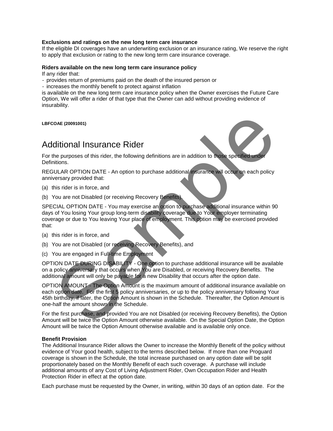#### **Exclusions and ratings on the new long term care insurance**

If the eligible DI coverages have an underwriting exclusion or an insurance rating, We reserve the right to apply that exclusion or rating to the new long term care insurance coverage.

#### **Riders available on the new long term care insurance policy**

If any rider that:

- provides return of premiums paid on the death of the insured person or
- increases the monthly benefit to protect against inflation

is available on the new long term care insurance policy when the Owner exercises the Future Care Option, We will offer a rider of that type that the Owner can add without providing evidence of insurability.

**LBFCOAE (20091001)**

### Additional Insurance Rider

For the purposes of this rider, the following definitions are in addition to those specified under Definitions.

REGULAR OPTION DATE - An option to purchase additional insurance will occur on each policy anniversary provided that:

- (a) this rider is in force, and
- (b) You are not Disabled (or receiving Recovery Benefits).

SPECIAL OPTION DATE - You may exercise an option to purchase additional insurance within 90 days of You losing Your group long-term disability coverage due to Your employer terminating coverage or due to You leaving Your place of employment. This option may be exercised provided that:

- (a) this rider is in force, and
- (b) You are not Disabled (or receiving Recovery Benefits), and
- (c) You are engaged in Full-time Employment

OPTION DATE DURING DISABILITY - One option to purchase additional insurance will be available on a policy anniversary that occurs when You are Disabled, or receiving Recovery Benefits. The additional amount will only be payable for a new Disability that occurs after the option date.

OPTION AMOUNT - The Option Amount is the maximum amount of additional insurance available on each option date. For the first 5 policy anniversaries, or up to the policy anniversary following Your 45th birthday, if later, the Option Amount is shown in the Schedule. Thereafter, the Option Amount is one-half the amount shown in the Schedule. oas (20091001)<br>
ditional Insurance Rider<br>
He purposes of this rider, the following definitions are in addition to three specified under<br>
ULAR OPTION DATE - An option to purchase additional insurance will occur on each poli

For the first purchase, and provided You are not Disabled (or receiving Recovery Benefits), the Option Amount will be twice the Option Amount otherwise available. On the Special Option Date, the Option Amount will be twice the Option Amount otherwise available and is available only once.

#### **Benefit Provision**

The Additional Insurance Rider allows the Owner to increase the Monthly Benefit of the policy without evidence of Your good health, subject to the terms described below. If more than one Proguard coverage is shown in the Schedule, the total increase purchased on any option date will be split proportionately based on the Monthly Benefit of each such coverage. A purchase will include additional amounts of any Cost of Living Adjustment Rider, Own Occupation Rider and Health Protection Rider in effect at the option date.

Each purchase must be requested by the Owner, in writing, within 30 days of an option date. For the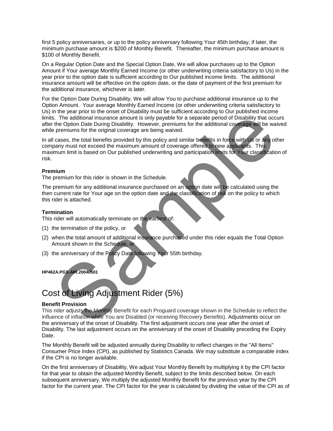first 5 policy anniversaries, or up to the policy anniversary following Your 45th birthday, if later, the minimum purchase amount is \$200 of Monthly Benefit. Thereafter, the minimum purchase amount is \$100 of Monthly Benefit.

On a Regular Option Date and the Special Option Date, We will allow purchases up to the Option Amount if Your average Monthly Earned Income (or other underwriting criteria satisfactory to Us) in the year prior to the option date is sufficient according to Our published income limits. The additional insurance amount will be effective on the option date, or the date of payment of the first premium for the additional insurance, whichever is later.

For the Option Date During Disability, We will allow You to purchase additional insurance up to the Option Amount. Your average Monthly Earned Income (or other underwriting criteria satisfactory to Us) in the year prior to the onset of Disability must be sufficient according to Our published income limits. The additional insurance amount is only payable for a separate period of Disability that occurs after the Option Date During Disability. However, premiums for the additional coverage will be waived while premiums for the original coverage are being waived.

In all cases, the total benefits provided by this policy and similar benefits in force with Us or any other company must not exceed the maximum amount of coverage offered to new applicants. This maximum limit is based on Our published underwriting and participation limits for Your classification of risk. Something the anti-<br>The additional insurance amount is only payable for a separate period of Disability that occidence the Option Date During Disability. However, permiums for the original coverage are being watved.<br>
The p

#### **Premium**

The premium for this rider is shown in the Schedule.

The premium for any additional insurance purchased on an option date will be calculated using the then current rate for Your age on the option date and the classification of risk on the policy to which this rider is attached.

#### **Termination**

This rider will automatically terminate on the earliest of:

- (1) the termination of the policy, or
- (2) when the total amount of additional insurance purchased under this rider equals the Total Option Amount shown in the Schedule, or
- (3) the anniversary of the Policy Date following Your 55th birthday.

**HP462A.PGS.AIR.20040501**

# Cost of Living Adjustment Rider (5%)

#### **Benefit Provision**

This rider adjusts the Monthly Benefit for each Proguard coverage shown in the Schedule to reflect the influence of inflation while You are Disabled (or receiving Recovery Benefits). Adjustments occur on the anniversary of the onset of Disability. The first adjustment occurs one year after the onset of Disability. The last adjustment occurs on the anniversary of the onset of Disability preceding the Expiry Date.

The Monthly Benefit will be adjusted annually during Disability to reflect changes in the "All Items" Consumer Price Index (CPI), as published by Statistics Canada. We may substitute a comparable index if the CPI is no longer available.

On the first anniversary of Disability, We adjust Your Monthly Benefit by multiplying it by the CPI factor for that year to obtain the adjusted Monthly Benefit, subject to the limits described below. On each subsequent anniversary, We multiply the adjusted Monthly Benefit for the previous year by the CPI factor for the current year. The CPI factor for the year is calculated by dividing the value of the CPI as of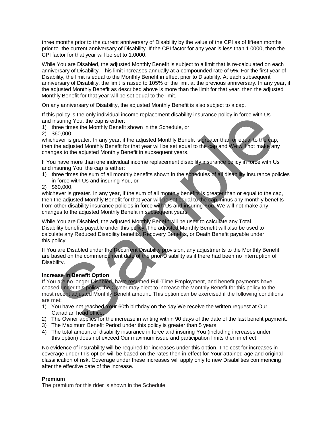three months prior to the current anniversary of Disability by the value of the CPI as of fifteen months prior to the current anniversary of Disability. If the CPI factor for any year is less than 1.0000, then the CPI factor for that year will be set to 1.0000.

While You are Disabled, the adjusted Monthly Benefit is subject to a limit that is re-calculated on each anniversary of Disability. This limit increases annually at a compounded rate of 5%. For the first year of Disability, the limit is equal to the Monthly Benefit in effect prior to Disability. At each subsequent anniversary of Disability, the limit is raised to 105% of the limit at the previous anniversary. In any year, if the adjusted Monthly Benefit as described above is more than the limit for that year, then the adjusted Monthly Benefit for that year will be set equal to the limit.

On any anniversary of Disability, the adjusted Monthly Benefit is also subject to a cap.

If this policy is the only individual income replacement disability insurance policy in force with Us and insuring You, the cap is either:

1) three times the Monthly Benefit shown in the Schedule, or

2) \$60,000,

whichever is greater. In any year, if the adjusted Monthly Benefit is greater than or equal to the cap, then the adjusted Monthly Benefit for that year will be set equal to the cap and We will not make any changes to the adjusted Monthly Benefit in subsequent years.

If You have more than one individual income replacement disability insurance policy in force with Us and insuring You, the cap is either:

1) three times the sum of all monthly benefits shown in the schedules of all disability insurance policies in force with Us and insuring You, or

2) \$60,000,

whichever is greater. In any year, if the sum of all monthly benefits is greater than or equal to the cap, then the adjusted Monthly Benefit for that year will be set equal to the cap minus any monthly benefits from other disability insurance policies in force with Us and insuring You. We will not make any changes to the adjusted Monthly Benefit in subsequent years. policy is the only incidivalian income replacement disability insurance policy in force with Us<br>nosing You, the cap is either.<br>The climate the Monthly Benefit shown in the Schedule, or<br>secure is greater. In any year, if th

While You are Disabled, the adjusted Monthly Benefit will be used to calculate any Total Disability benefits payable under this policy. The adjusted Monthly Benefit will also be used to calculate any Reduced Disability benefits, Recovery Benefits, or Death Benefit payable under this policy.

If You are Disabled under the Recurrent Disability provision, any adjustments to the Monthly Benefit are based on the commencement date of the prior Disability as if there had been no interruption of Disability.

#### **Increase in Benefit Option**

If You are no longer Disabled, have resumed Full-Time Employment, and benefit payments have ceased under this policy, the Owner may elect to increase the Monthly Benefit for this policy to the most recent adjusted Monthly Benefit amount. This option can be exercised if the following conditions are met:

- 1) You have not reached Your 60th birthday on the day We receive the written request at Our Canadian head office.
- 2) The Owner applies for the increase in writing within 90 days of the date of the last benefit payment.
- 3) The Maximum Benefit Period under this policy is greater than 5 years.
- 4) The total amount of disability insurance in force and insuring You (including increases under this option) does not exceed Our maximum issue and participation limits then in effect.

No evidence of insurability will be required for increases under this option. The cost for increases in coverage under this option will be based on the rates then in effect for Your attained age and original classification of risk. Coverage under these increases will apply only to new Disabilities commencing after the effective date of the increase.

#### **Premium**

The premium for this rider is shown in the Schedule.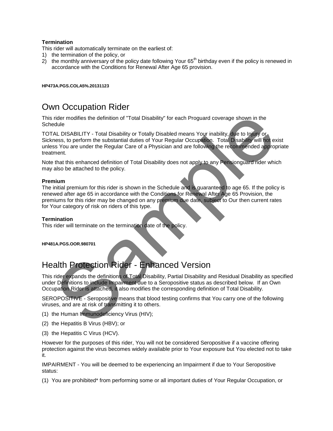#### **Termination**

This rider will automatically terminate on the earliest of:

- 1) the termination of the policy, or
- 2) the monthly anniversary of the policy date following Your  $65<sup>th</sup>$  birthday even if the policy is renewed in accordance with the Conditions for Renewal After Age 65 provision.

#### **HP473A.PGS.COLA5%.20131123**

## Own Occupation Rider

This rider modifies the definition of "Total Disability" for each Proguard coverage shown in the **Schedule** 

TOTAL DISABILITY - Total Disability or Totally Disabled means Your inability, due to Injury or Sickness, to perform the substantial duties of Your Regular Occupation. Total Disability will not exist unless You are under the Regular Care of a Physician and are following the recommended appropriate treatment. rider modifies the definition of "Total Disability" for each Proguard coverage shown in the<br>dubication SABILITY - Total Disability or Totally Disabled means Your inability, due to Injury or<br>ness, to perform the substantial

Note that this enhanced definition of Total Disability does not apply to any Pensionguard rider which may also be attached to the policy.

#### **Premium**

The initial premium for this rider is shown in the Schedule and is guaranteed to age 65. If the policy is renewed after age 65 in accordance with the Conditions for Renewal After Age 65 Provision, the premiums for this rider may be changed on any premium due date, subject to Our then current rates for Your category of risk on riders of this type.

#### **Termination**

This rider will terminate on the termination date of the policy.

**HP481A.PGS.OOR.980701**

# Health Protection Rider - Enhanced Version

This rider expands the definitions of Total Disability, Partial Disability and Residual Disability as specified under Definitions to include Impairment due to a Seropositive status as described below. If an Own Occupation Rider is attached, it also modifies the corresponding definition of Total Disability.

SEROPOSITIVE - Seropositive means that blood testing confirms that You carry one of the following viruses, and are at risk of transmitting it to others.

- (1) the Human Immunodeficiency Virus (HIV);
- (2) the Hepatitis B Virus (HBV); or
- (3) the Hepatitis C Virus (HCV).

However for the purposes of this rider, You will not be considered Seropositive if a vaccine offering protection against the virus becomes widely available prior to Your exposure but You elected not to take it.

IMPAIRMENT - You will be deemed to be experiencing an Impairment if due to Your Seropositive status:

(1) You are prohibited\* from performing some or all important duties of Your Regular Occupation, or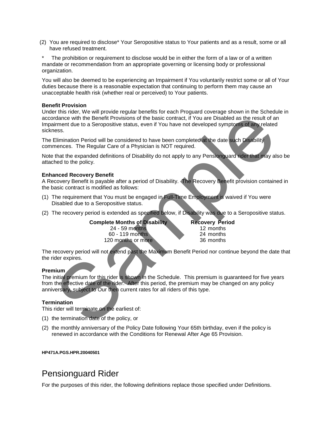(2) You are required to disclose\* Your Seropositive status to Your patients and as a result, some or all have refused treatment.

The prohibition or requirement to disclose would be in either the form of a law or of a written mandate or recommendation from an appropriate governing or licensing body or professional organization.

You will also be deemed to be experiencing an Impairment if You voluntarily restrict some or all of Your duties because there is a reasonable expectation that continuing to perform them may cause an unacceptable health risk (whether real or perceived) to Your patients.

#### **Benefit Provision**

Under this rider, We will provide regular benefits for each Proguard coverage shown in the Schedule in accordance with the Benefit Provisions of the basic contract, if You are Disabled as the result of an Impairment due to a Seropositive status, even if You have not developed symptoms of any related sickness. ridance with the Benefit Provisions of the basic contract, if You are Disabled as the result of a<br>ridance with the Benefit Provisions of the basic contract, if You are Disabled as the result of a<br>rise.<br>Elimination Period w

The Elimination Period will be considered to have been completed at the date such Disability commences. The Regular Care of a Physician is NOT required.

Note that the expanded definitions of Disability do not apply to any Pensionguard rider that may also be attached to the policy.

#### **Enhanced Recovery Benefit**

A Recovery Benefit is payable after a period of Disability. The Recovery Benefit provision contained in the basic contract is modified as follows:

- (1) The requirement that You must be engaged in Full-Time Employment is waived if You were Disabled due to a Seropositive status.
- (2) The recovery period is extended as specified below, if Disability was due to a Seropositive status.

**Complete Months of Disability Recovery Period**<br>24 - 59 months 12 months 24 - 59 months 12 months 60 - 119 months 24 months 20<br>20 months or more 36 months 120 months or more

The recovery period will not extend past the Maximum Benefit Period nor continue beyond the date that the rider expires.

#### **Premium**

The initial premium for this rider is shown in the Schedule. This premium is guaranteed for five years from the effective date of the rider. After this period, the premium may be changed on any policy anniversary, subject to Our then current rates for all riders of this type.

#### **Termination**

This rider will terminate on the earliest of:

- (1) the termination date of the policy, or
- (2) the monthly anniversary of the Policy Date following Your 65th birthday, even if the policy is renewed in accordance with the Conditions for Renewal After Age 65 Provision.

#### **HP471A.PGS.HPR.20040501**

### Pensionguard Rider

For the purposes of this rider, the following definitions replace those specified under Definitions.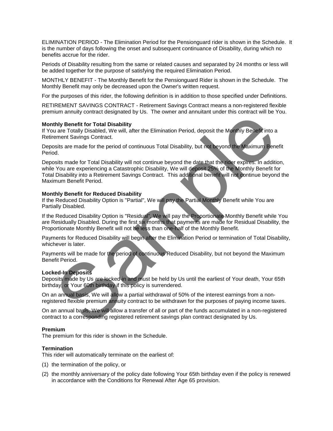ELIMINATION PERIOD - The Elimination Period for the Pensionguard rider is shown in the Schedule. It is the number of days following the onset and subsequent continuance of Disability, during which no benefits accrue for the rider.

Periods of Disability resulting from the same or related causes and separated by 24 months or less will be added together for the purpose of satisfying the required Elimination Period.

MONTHLY BENEFIT - The Monthly Benefit for the Pensionguard Rider is shown in the Schedule. The Monthly Benefit may only be decreased upon the Owner's written request.

For the purposes of this rider, the following definition is in addition to those specified under Definitions.

RETIREMENT SAVINGS CONTRACT - Retirement Savings Contract means a non-registered flexible premium annuity contract designated by Us. The owner and annuitant under this contract will be You.

#### **Monthly Benefit for Total Disability**

If You are Totally Disabled, We will, after the Elimination Period, deposit the Monthly Benefit into a Retirement Savings Contract.

Deposits are made for the period of continuous Total Disability, but not beyond the Maximum Benefit Period.

Deposits made for Total Disability will not continue beyond the date that the rider expires. In addition, while You are experiencing a Catastrophic Disability, We will deposit 25% of the Monthly Benefit for Total Disability into a Retirement Savings Contract. This additional benefit will not continue beyond the Maximum Benefit Period. this people is the period of the period of continuous Reduced Disability, but not beyond the Maximum Benefit for Total Disability, the will, after the Elimination Period, deposit the Maximum Benefit finto a members Savings

#### **Monthly Benefit for Reduced Disability**

If the Reduced Disability Option is "Partial", We will pay the Partial Monthly Benefit while You are Partially Disabled.

If the Reduced Disability Option is "Residual", We will pay the Proportionate Monthly Benefit while You are Residually Disabled. During the first six months that payments are made for Residual Disability, the Proportionate Monthly Benefit will not be less than one-half of the Monthly Benefit.

Payments for Reduced Disability will begin after the Elimination Period or termination of Total Disability, whichever is later.

Payments will be made for the period of continuous Reduced Disability, but not beyond the Maximum Benefit Period.

#### **Locked-In Deposits**

Deposits made by Us are locked-in and must be held by Us until the earliest of Your death, Your 65th birthday, or Your 60th birthday if this policy is surrendered.

On an annual basis, We will allow a partial withdrawal of 50% of the interest earnings from a nonregistered flexible premium annuity contract to be withdrawn for the purposes of paying income taxes.

On an annual basis, We will allow a transfer of all or part of the funds accumulated in a non-registered contract to a corresponding registered retirement savings plan contract designated by Us.

#### **Premium**

The premium for this rider is shown in the Schedule.

#### **Termination**

This rider will automatically terminate on the earliest of:

- (1) the termination of the policy, or
- (2) the monthly anniversary of the policy date following Your 65th birthday even if the policy is renewed in accordance with the Conditions for Renewal After Age 65 provision.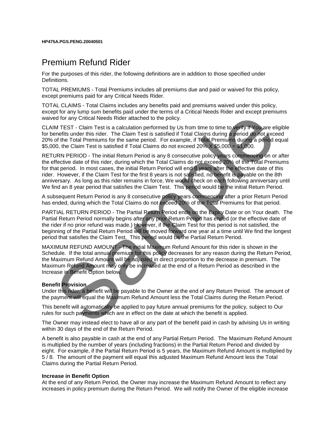### Premium Refund Rider

For the purposes of this rider, the following definitions are in addition to those specified under Definitions.

TOTAL PREMIUMS - Total Premiums includes all premiums due and paid or waived for this policy, except premiums paid for any Critical Needs Rider.

TOTAL CLAIMS - Total Claims includes any benefits paid and premiums waived under this policy, except for any lump sum benefits paid under the terms of a Critical Needs Rider and except premiums waived for any Critical Needs Rider attached to the policy.

CLAIM TEST - Claim Test is a calculation performed by Us from time to time to verify if You are eligible for benefits under this rider. The Claim Test is satisfied if Total Claims during a period do not exceed 20% of the Total Premiums for the same period. For example, if Total Premiums during a period equal \$5,000, the Claim Test is satisfied if Total Claims do not exceed 20% X \$5,000 = \$1,000.

RETURN PERIOD - The initial Return Period is any 8 consecutive policy years commencing on or after the effective date of this rider, during which the Total Claims do not exceed 20% of the Total Premiums for that period. In most cases, the initial Return Period will end 8 years after the effective date of this rider. However, if the Claim Test for the first 8 years is not satisfied, no benefit is payable on the 8th anniversary. As long as this rider remains in force, We would check on each following anniversary until We find an 8 year period that satisfies the Claim Test. This period would be the initial Return Period. For the TST - Claim Test is a calculation performed by the form time to the policy<br>ed for any Critical Needs Rider attached to the policy.<br>The TEST - Claim Test is a calculation performed by Us from time to time to the pol

A subsequent Return Period is any 8 consecutive policy years commencing after a prior Return Period has ended, during which the Total Claims do not exceed 20% of the Total Premiums for that period.

PARTIAL RETURN PERIOD - The Partial Return Period ends on the Expiry Date or on Your death. The Partial Return Period normally begins after any prior Return Period has ended (or the effective date of the rider if no prior refund was made.) However, if the Claim Test for this period is not satisfied, the beginning of the Partial Return Period will be moved forward one year at a time until We find the longest period that satisfies the Claim Test. This period would be the Partial Return Period.

MAXIMUM REFUND AMOUNT - The initial Maximum Refund Amount for this rider is shown in the Schedule. If the total annual premium for this policy decreases for any reason during the Return Period, the Maximum Refund Amount will be adjusted in direct proportion to the decrease in premium. The Maximum Refund Amount may only be increased at the end of a Return Period as described in the Increase in Benefit Option below.

#### **Benefit Provision**

Under this rider, a benefit will be payable to the Owner at the end of any Return Period. The amount of the payment will equal the Maximum Refund Amount less the Total Claims during the Return Period.

This benefit will automatically be applied to pay future annual premiums for the policy, subject to Our rules for such payments which are in effect on the date at which the benefit is applied.

The Owner may instead elect to have all or any part of the benefit paid in cash by advising Us in writing within 30 days of the end of the Return Period.

A benefit is also payable in cash at the end of any Partial Return Period. The Maximum Refund Amount is multiplied by the number of years (including fractions) in the Partial Return Period and divided by eight. For example, if the Partial Return Period is 5 years, the Maximum Refund Amount is multiplied by 5 / 8. The amount of the payment will equal this adjusted Maximum Refund Amount less the Total Claims during the Partial Return Period.

#### **Increase in Benefit Option**

At the end of any Return Period, the Owner may increase the Maximum Refund Amount to reflect any increases in policy premium during the Return Period. We will notify the Owner of the eligible increase